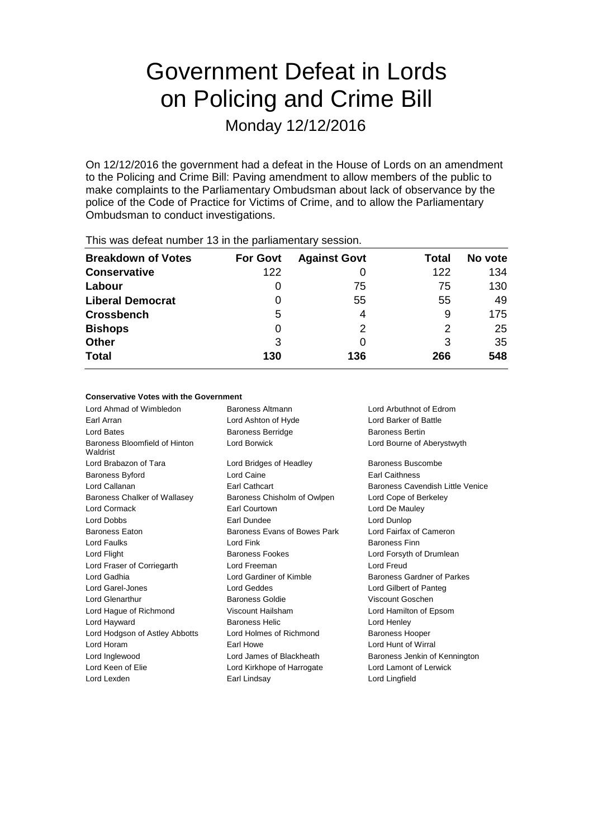# Government Defeat in Lords on Policing and Crime Bill

Monday 12/12/2016

On 12/12/2016 the government had a defeat in the House of Lords on an amendment to the Policing and Crime Bill: Paving amendment to allow members of the public to make complaints to the Parliamentary Ombudsman about lack of observance by the police of the Code of Practice for Victims of Crime, and to allow the Parliamentary Ombudsman to conduct investigations.

| This mas acroat harmoor to in the parliamentary cocolor. |                 |                     |                |         |  |  |
|----------------------------------------------------------|-----------------|---------------------|----------------|---------|--|--|
| <b>Breakdown of Votes</b>                                | <b>For Govt</b> | <b>Against Govt</b> | Total          | No vote |  |  |
| <b>Conservative</b>                                      | 122             |                     | 122            | 134     |  |  |
| Labour                                                   | 0               | 75                  | 75             | 130     |  |  |
| <b>Liberal Democrat</b>                                  | 0               | 55                  | 55             | 49      |  |  |
| <b>Crossbench</b>                                        | 5               | 4                   | 9              | 175     |  |  |
| <b>Bishops</b>                                           | 0               | 2                   | $\overline{2}$ | 25      |  |  |
| <b>Other</b>                                             | 3               |                     | 3              | 35      |  |  |
| <b>Total</b>                                             | 130             | 136                 | 266            | 548     |  |  |
|                                                          |                 |                     |                |         |  |  |

This was defeat number 13 in the parliamentary session.

#### **Conservative Votes with the Government**

| Lord Ahmad of Wimbledon                   | Baroness Altmann             | Lord Arbuthnot of Edrom          |
|-------------------------------------------|------------------------------|----------------------------------|
| Earl Arran                                | Lord Ashton of Hyde          | Lord Barker of Battle            |
| <b>Lord Bates</b>                         | <b>Baroness Berridge</b>     | <b>Baroness Bertin</b>           |
| Baroness Bloomfield of Hinton<br>Waldrist | Lord Borwick                 | Lord Bourne of Aberystwyth       |
| Lord Brabazon of Tara                     | Lord Bridges of Headley      | Baroness Buscombe                |
| <b>Baroness Byford</b>                    | Lord Caine                   | <b>Earl Caithness</b>            |
| Lord Callanan                             | Earl Cathcart                | Baroness Cavendish Little Venice |
| Baroness Chalker of Wallasey              | Baroness Chisholm of Owlpen  | Lord Cope of Berkeley            |
| Lord Cormack                              | Earl Courtown                | Lord De Mauley                   |
| <b>Lord Dobbs</b>                         | Earl Dundee                  | Lord Dunlop                      |
| <b>Baroness Eaton</b>                     | Baroness Evans of Bowes Park | Lord Fairfax of Cameron          |
| Lord Faulks                               | Lord Fink                    | <b>Baroness Finn</b>             |
| Lord Flight                               | <b>Baroness Fookes</b>       | Lord Forsyth of Drumlean         |
| Lord Fraser of Corriegarth                | Lord Freeman                 | Lord Freud                       |
| Lord Gadhia                               | Lord Gardiner of Kimble      | Baroness Gardner of Parkes       |
| Lord Garel-Jones                          | Lord Geddes                  | Lord Gilbert of Panteg           |
| <b>Lord Glenarthur</b>                    | Baroness Goldie              | Viscount Goschen                 |
| Lord Hague of Richmond                    | Viscount Hailsham            | Lord Hamilton of Epsom           |
| Lord Hayward                              | <b>Baroness Helic</b>        | Lord Henley                      |
| Lord Hodgson of Astley Abbotts            | Lord Holmes of Richmond      | <b>Baroness Hooper</b>           |
| Lord Horam                                | Earl Howe                    | Lord Hunt of Wirral              |
| Lord Inglewood                            | Lord James of Blackheath     | Baroness Jenkin of Kennington    |
| Lord Keen of Elie                         | Lord Kirkhope of Harrogate   | Lord Lamont of Lerwick           |
| Lord Lexden                               | Earl Lindsay                 | Lord Lingfield                   |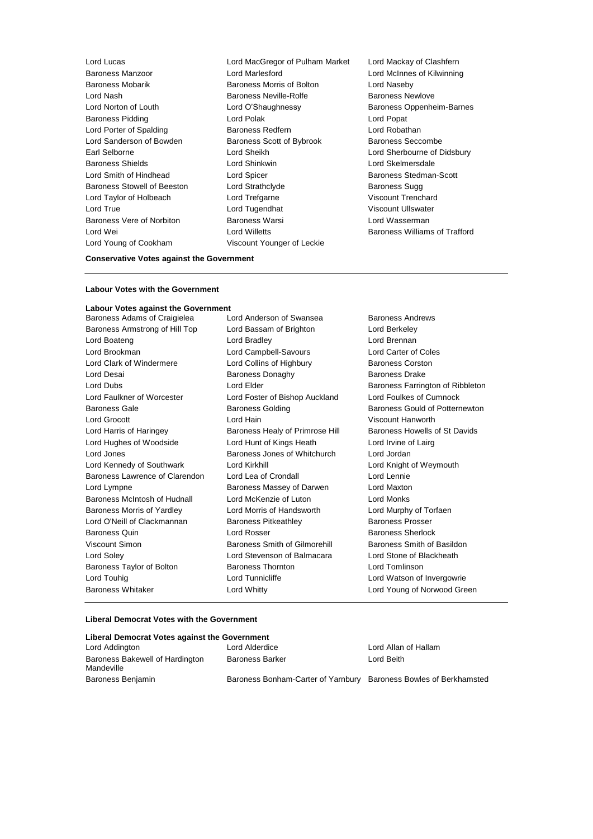Lord Young of Cookham Viscount Younger of Leckie

Lord Lucas Lord MacGregor of Pulham Market Lord Mackay of Clashfern Baroness Manzoor **Lord Marlesford** Lord Marlesford Lord McInnes of Kilwinning Baroness Mobarik Baroness Morris of Bolton Lord Naseby Lord Nash Baroness Neville-Rolfe Baroness Newlove Lord Norton of Louth Lord O'Shaughnessy **Baroness Oppenheim-Barnes** Baroness Pidding Lord Polak Lord Popat Lord Porter of Spalding **Baroness Redfern Baroness Redfern** Lord Robathan Lord Sanderson of Bowden Baroness Scott of Bybrook Baroness Seccombe Earl Selborne **Lord Sheikh Lord Sheikh Lord Sherbourne** of Didsbury<br>
Baroness Shields **Lord Sherbourne Corporation** Lord Sherbourne of Didsbury Lord Shinkwin **Lord Skelmersdale** Lord Smith of Hindhead **Lord Spicer Baroness Stedman-Scott Baroness Stedman-Scott** Baroness Stowell of Beeston Lord Strathclyde **Baroness Sugg** Baroness Sugg Lord Taylor of Holbeach Lord Trefgarne Viscount Trenchard Lord True **Lord Tugendhat** Viscount Ullswater Baroness Vere of Norbiton **Baroness Warsi Baroness Warsi** Lord Wasserman Lord Wei Lord Willetts Baroness Williams of Trafford

### **Conservative Votes against the Government**

#### **Labour Votes with the Government**

**Labour Votes against the Government**<br> **Baroness Adams of Craigielea Lord Anderson of Swansea** Baroness Adams of Craigielea Lord Anderson of Swansea Baroness Andrews Baroness Armstrong of Hill Top Lord Bassam of Brighton Lord Berkeley Lord Boateng Lord Bradley Lord Brennan Lord Brookman Lord Campbell-Savours Lord Carter of Coles Lord Clark of Windermere **Lord Collins of Highbury** Baroness Corston Lord Desai **Baroness Donaghy** Baroness Donaghy Baroness Drake Lord Dubs **Lord Elder Baroness Farrington of Ribbleton** Lord Faulkner of Worcester Lord Foster of Bishop Auckland Lord Foulkes of Cumnock Baroness Gale **Baroness Golding** Baroness Gould of Potternewton Lord Grocott Lord Hain Viscount Hanworth Lord Harris of Haringey **Baroness Healy of Primrose Hill** Baroness Howells of St Davids Lord Hughes of Woodside Lord Hunt of Kings Heath Lord Irvine of Lairg Lord Jones Baroness Jones of Whitchurch Lord Jordan Lord Kennedy of Southwark Lord Kirkhill Lord Kirkhill Lord Knight of Weymouth Baroness Lawrence of Clarendon Lord Lea of Crondall Lord Lennie Lord Lympne Baroness Massey of Darwen Lord Maxton Baroness McIntosh of Hudnall Lord McKenzie of Luton Lord Monks Baroness Morris of Yardley Lord Morris of Handsworth Lord Murphy of Torfaen Lord O'Neill of Clackmannan Baroness Pitkeathley Baroness Prosser Baroness Quin Lord Rosser Baroness Sherlock Viscount Simon Baroness Smith of Gilmorehill Baroness Smith of Basildon Lord Soley Lord Stevenson of Balmacara Lord Stone of Blackheath Baroness Taylor of Bolton **Baroness Thornton Baroness Thornton** Lord Tomlinson Lord Touhig **Lord Tunnicliffe** Lord Tunnicliffe Lord Watson of Invergowrie Baroness Whitaker Lord Whitty Lord Young of Norwood Green

## **Liberal Democrat Votes with the Government**

| Liberal Democrat Votes against the Government |                                                                   |                      |  |  |
|-----------------------------------------------|-------------------------------------------------------------------|----------------------|--|--|
| Lord Addington                                | Lord Alderdice                                                    | Lord Allan of Hallam |  |  |
| Baroness Bakewell of Hardington<br>Mandeville | <b>Baroness Barker</b>                                            | Lord Beith           |  |  |
| Baroness Benjamin                             | Baroness Bonham-Carter of Yarnbury Baroness Bowles of Berkhamsted |                      |  |  |